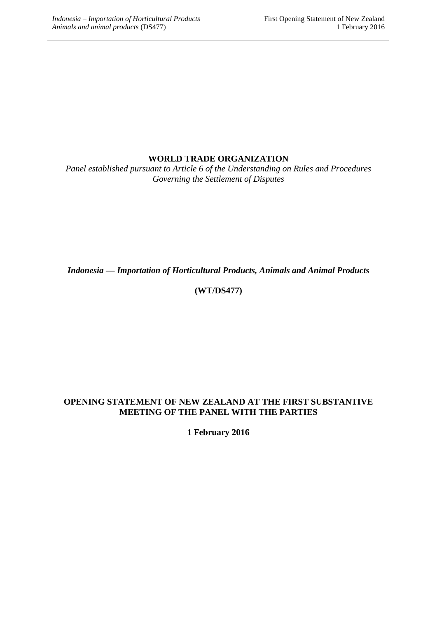# **WORLD TRADE ORGANIZATION**

*Panel established pursuant to Article 6 of the Understanding on Rules and Procedures Governing the Settlement of Disputes*

*Indonesia — Importation of Horticultural Products, Animals and Animal Products*

# **(WT/DS477)**

## **OPENING STATEMENT OF NEW ZEALAND AT THE FIRST SUBSTANTIVE MEETING OF THE PANEL WITH THE PARTIES**

**1 February 2016**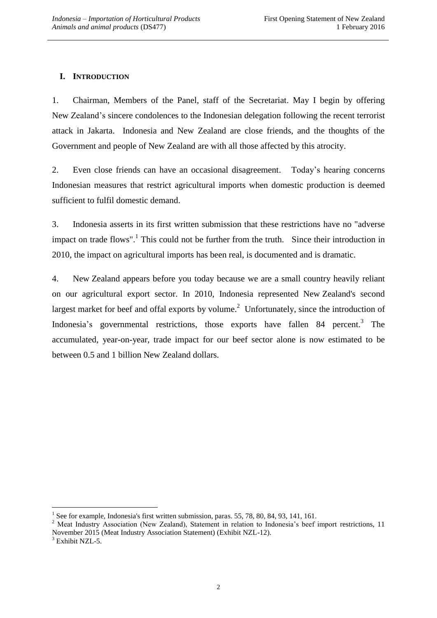# **I. INTRODUCTION**

1. Chairman, Members of the Panel, staff of the Secretariat. May I begin by offering New Zealand's sincere condolences to the Indonesian delegation following the recent terrorist attack in Jakarta. Indonesia and New Zealand are close friends, and the thoughts of the Government and people of New Zealand are with all those affected by this atrocity.

2. Even close friends can have an occasional disagreement. Today's hearing concerns Indonesian measures that restrict agricultural imports when domestic production is deemed sufficient to fulfil domestic demand.

3. Indonesia asserts in its first written submission that these restrictions have no "adverse impact on trade flows".<sup>1</sup> This could not be further from the truth. Since their introduction in 2010, the impact on agricultural imports has been real, is documented and is dramatic.

4. New Zealand appears before you today because we are a small country heavily reliant on our agricultural export sector. In 2010, Indonesia represented New Zealand's second largest market for beef and offal exports by volume.<sup>2</sup> Unfortunately, since the introduction of Indonesia's governmental restrictions, those exports have fallen 84 percent.<sup>3</sup> The accumulated, year-on-year, trade impact for our beef sector alone is now estimated to be between 0.5 and 1 billion New Zealand dollars.

<sup>&</sup>lt;sup>1</sup> See for example, Indonesia's first written submission, paras. 55, 78, 80, 84, 93, 141, 161.

<sup>&</sup>lt;sup>2</sup> Meat Industry Association (New Zealand), Statement in relation to Indonesia's beef import restrictions, 11 November 2015 (Meat Industry Association Statement) (Exhibit NZL-12).

<sup>&</sup>lt;sup>3</sup> Exhibit NZL-5.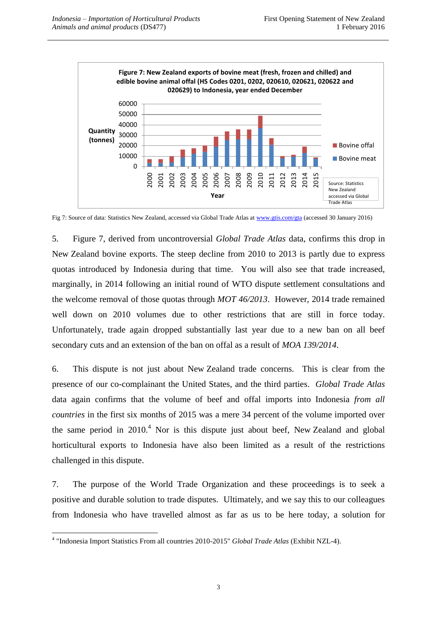

Fig 7: Source of data: Statistics New Zealand, accessed via Global Trade Atlas a[t www.gtis.com/gta](http://www.gtis.com/gta) (accessed 30 January 2016)

5. Figure 7, derived from uncontroversial *Global Trade Atlas* data, confirms this drop in New Zealand bovine exports. The steep decline from 2010 to 2013 is partly due to express quotas introduced by Indonesia during that time. You will also see that trade increased, marginally, in 2014 following an initial round of WTO dispute settlement consultations and the welcome removal of those quotas through *MOT 46/2013*. However, 2014 trade remained well down on 2010 volumes due to other restrictions that are still in force today. Unfortunately, trade again dropped substantially last year due to a new ban on all beef secondary cuts and an extension of the ban on offal as a result of *MOA 139/2014*.

6. This dispute is not just about New Zealand trade concerns. This is clear from the presence of our co-complainant the United States, and the third parties. *Global Trade Atlas*  data again confirms that the volume of beef and offal imports into Indonesia *from all countries* in the first six months of 2015 was a mere 34 percent of the volume imported over the same period in  $2010<sup>4</sup>$  Nor is this dispute just about beef. New Zealand and global horticultural exports to Indonesia have also been limited as a result of the restrictions challenged in this dispute.

7. The purpose of the World Trade Organization and these proceedings is to seek a positive and durable solution to trade disputes. Ultimately, and we say this to our colleagues from Indonesia who have travelled almost as far as us to be here today, a solution for

 $\overline{a}$ 4 "Indonesia Import Statistics From all countries 2010-2015" *Global Trade Atlas* (Exhibit NZL-4).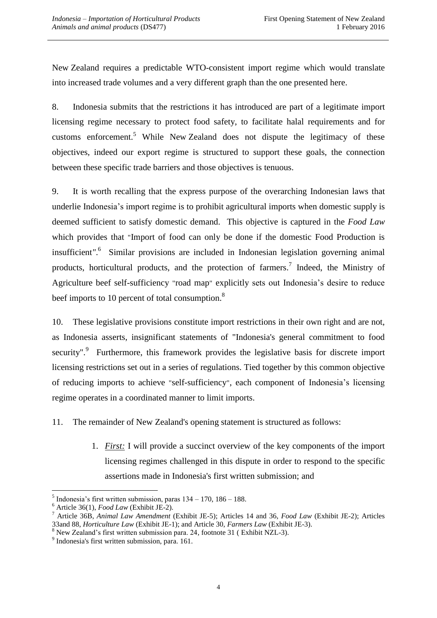New Zealand requires a predictable WTO-consistent import regime which would translate into increased trade volumes and a very different graph than the one presented here.

8. Indonesia submits that the restrictions it has introduced are part of a legitimate import licensing regime necessary to protect food safety, to facilitate halal requirements and for customs enforcement.<sup>5</sup> While New Zealand does not dispute the legitimacy of these objectives, indeed our export regime is structured to support these goals, the connection between these specific trade barriers and those objectives is tenuous.

9. It is worth recalling that the express purpose of the overarching Indonesian laws that underlie Indonesia's import regime is to prohibit agricultural imports when domestic supply is deemed sufficient to satisfy domestic demand. This objective is captured in the *Food Law* which provides that "Import of food can only be done if the domestic Food Production is insufficient*"*. 6 Similar provisions are included in Indonesian legislation governing animal products, horticultural products, and the protection of farmers.<sup>7</sup> Indeed, the Ministry of Agriculture beef self-sufficiency "road map" explicitly sets out Indonesia's desire to reduce beef imports to 10 percent of total consumption.<sup>8</sup>

10. These legislative provisions constitute import restrictions in their own right and are not, as Indonesia asserts, insignificant statements of "Indonesia's general commitment to food security".<sup>9</sup> Furthermore, this framework provides the legislative basis for discrete import licensing restrictions set out in a series of regulations. Tied together by this common objective of reducing imports to achieve "self-sufficiency", each component of Indonesia's licensing regime operates in a coordinated manner to limit imports.

11. The remainder of New Zealand's opening statement is structured as follows:

1. *First:* I will provide a succinct overview of the key components of the import licensing regimes challenged in this dispute in order to respond to the specific assertions made in Indonesia's first written submission; and

 $<sup>5</sup>$  Indonesia's first written submission, paras  $134 - 170$ ,  $186 - 188$ .</sup>

<sup>6</sup> Article 36(1), *Food Law* (Exhibit JE-2).

<sup>7</sup> Article 36B, *Animal Law Amendment* (Exhibit JE-5); Articles 14 and 36, *Food Law* (Exhibit JE-2); Articles 33and 88, *Horticulture Law* (Exhibit JE-1); and Article 30, *Farmers Law* (Exhibit JE-3).

<sup>8</sup> New Zealand's first written submission para. 24, footnote 31 ( Exhibit NZL-3).

<sup>&</sup>lt;sup>9</sup> Indonesia's first written submission, para. 161.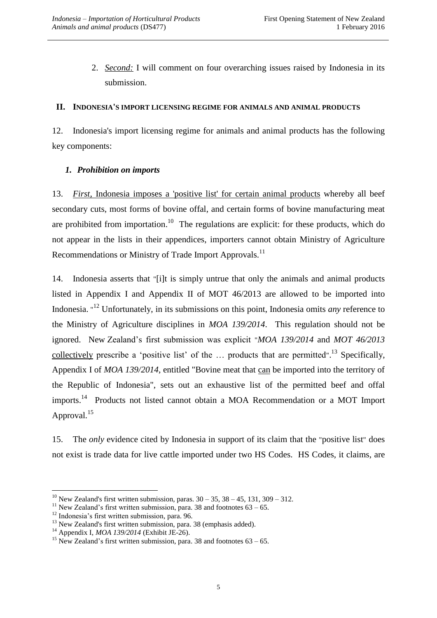2. *Second:* I will comment on four overarching issues raised by Indonesia in its submission.

### **II. INDONESIA'S IMPORT LICENSING REGIME FOR ANIMALS AND ANIMAL PRODUCTS**

12. Indonesia's import licensing regime for animals and animal products has the following key components:

# *1. Prohibition on imports*

13. *First,* Indonesia imposes a 'positive list' for certain animal products whereby all beef secondary cuts, most forms of bovine offal, and certain forms of bovine manufacturing meat are prohibited from importation.<sup>10</sup> The regulations are explicit: for these products, which do not appear in the lists in their appendices, importers cannot obtain Ministry of Agriculture Recommendations or Ministry of Trade Import Approvals.<sup>11</sup>

14. Indonesia asserts that "[i]t is simply untrue that only the animals and animal products listed in Appendix I and Appendix II of MOT 46/2013 are allowed to be imported into Indonesia. " <sup>12</sup> Unfortunately, in its submissions on this point, Indonesia omits *any* reference to the Ministry of Agriculture disciplines in *MOA 139/2014*. This regulation should not be ignored. New Zealand's first submission was explicit "*MOA 139/2014* and *MOT 46/2013* collectively prescribe a 'positive list' of the  $\ldots$  products that are permitted".<sup>13</sup> Specifically, Appendix I of *MOA 139/2014*, entitled "Bovine meat that can be imported into the territory of the Republic of Indonesia", sets out an exhaustive list of the permitted beef and offal imports.<sup>14</sup> Products not listed cannot obtain a MOA Recommendation or a MOT Import Approval.<sup>15</sup>

15. The *only* evidence cited by Indonesia in support of its claim that the "positive list" does not exist is trade data for live cattle imported under two HS Codes. HS Codes, it claims, are

<sup>&</sup>lt;sup>10</sup> New Zealand's first written submission, paras.  $30 - 35$ ,  $38 - 45$ , 131,  $309 - 312$ .

<sup>&</sup>lt;sup>11</sup> New Zealand's first written submission, para. 38 and footnotes  $63 - 65$ .

<sup>&</sup>lt;sup>12</sup> Indonesia's first written submission, para. 96.

 $13$  New Zealand's first written submission, para. 38 (emphasis added).

<sup>14</sup> Appendix I, *MOA 139/2014* (Exhibit JE-26).

<sup>&</sup>lt;sup>15</sup> New Zealand's first written submission, para. 38 and footnotes  $63 - 65$ .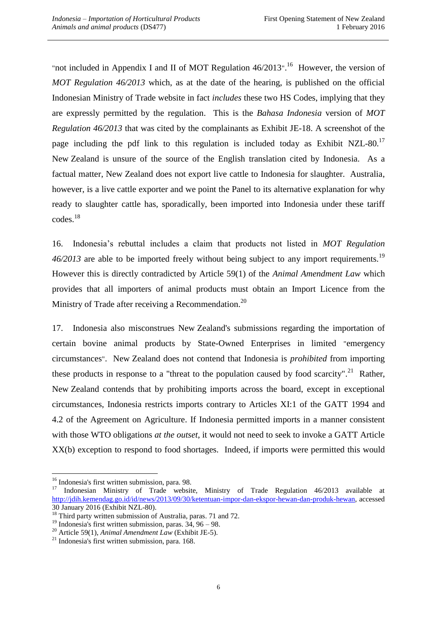"not included in Appendix I and II of MOT Regulation  $46/2013$ ".<sup>16</sup> However, the version of *MOT Regulation 46/2013* which, as at the date of the hearing, is published on the official Indonesian Ministry of Trade website in fact *includes* these two HS Codes, implying that they are expressly permitted by the regulation. This is the *Bahasa Indonesia* version of *MOT Regulation 46/2013* that was cited by the complainants as Exhibit JE-18. A screenshot of the page including the pdf link to this regulation is included today as Exhibit NZL-80.<sup>17</sup> New Zealand is unsure of the source of the English translation cited by Indonesia. As a factual matter, New Zealand does not export live cattle to Indonesia for slaughter. Australia, however, is a live cattle exporter and we point the Panel to its alternative explanation for why ready to slaughter cattle has, sporadically, been imported into Indonesia under these tariff codes.<sup>18</sup>

16. Indonesia's rebuttal includes a claim that products not listed in *MOT Regulation*  46/2013 are able to be imported freely without being subject to any import requirements.<sup>19</sup> However this is directly contradicted by Article 59(1) of the *Animal Amendment Law* which provides that all importers of animal products must obtain an Import Licence from the Ministry of Trade after receiving a Recommendation.<sup>20</sup>

17. Indonesia also misconstrues New Zealand's submissions regarding the importation of certain bovine animal products by State-Owned Enterprises in limited "emergency circumstances". New Zealand does not contend that Indonesia is *prohibited* from importing these products in response to a "threat to the population caused by food scarcity".<sup>21</sup> Rather, New Zealand contends that by prohibiting imports across the board, except in exceptional circumstances, Indonesia restricts imports contrary to Articles XI:1 of the GATT 1994 and 4.2 of the Agreement on Agriculture. If Indonesia permitted imports in a manner consistent with those WTO obligations *at the outset*, it would not need to seek to invoke a GATT Article XX(b) exception to respond to food shortages. Indeed, if imports were permitted this would

 $\overline{a}$ <sup>16</sup> Indonesia's first written submission, para. 98.

<sup>&</sup>lt;sup>17</sup> Indonesian Ministry of Trade website, Ministry of Trade Regulation 46/2013 available at [http://jdih.kemendag.go.id/id/news/2013/09/30/ketentuan-impor-dan-ekspor-hewan-dan-produk-hewan,](http://jdih.kemendag.go.id/id/news/2013/09/30/ketentuan-impor-dan-ekspor-hewan-dan-produk-hewan) accessed 30 January 2016 (Exhibit NZL-80).

<sup>&</sup>lt;sup>18</sup> Third party written submission of Australia, paras. 71 and 72.

<sup>&</sup>lt;sup>19</sup> Indonesia's first written submission, paras.  $34, 96 - 98$ .

<sup>20</sup> Article 59(1), *Animal Amendment Law* (Exhibit JE-5).

 $21$  Indonesia's first written submission, para. 168.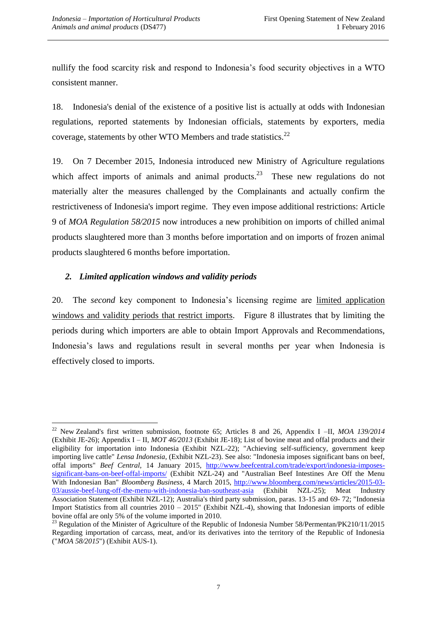nullify the food scarcity risk and respond to Indonesia's food security objectives in a WTO consistent manner.

18. Indonesia's denial of the existence of a positive list is actually at odds with Indonesian regulations, reported statements by Indonesian officials, statements by exporters, media coverage, statements by other WTO Members and trade statistics. $^{22}$ 

19. On 7 December 2015, Indonesia introduced new Ministry of Agriculture regulations which affect imports of animals and animal products.<sup>23</sup> These new regulations do not materially alter the measures challenged by the Complainants and actually confirm the restrictiveness of Indonesia's import regime. They even impose additional restrictions: Article 9 of *MOA Regulation 58/2015* now introduces a new prohibition on imports of chilled animal products slaughtered more than 3 months before importation and on imports of frozen animal products slaughtered 6 months before importation.

## *2. Limited application windows and validity periods*

20. The *second* key component to Indonesia's licensing regime are limited application windows and validity periods that restrict imports. Figure 8 illustrates that by limiting the periods during which importers are able to obtain Import Approvals and Recommendations, Indonesia's laws and regulations result in several months per year when Indonesia is effectively closed to imports.

 $\overline{a}$ <sup>22</sup> New Zealand's first written submission, footnote 65; Articles 8 and 26, Appendix I –II, *MOA 139/2014* (Exhibit JE-26); Appendix I – II, *MOT 46/2013* (Exhibit JE-18); List of bovine meat and offal products and their eligibility for importation into Indonesia (Exhibit NZL-22); "Achieving self-sufficiency, government keep importing live cattle" *Lensa Indonesia,* (Exhibit NZL-23). See also: "Indonesia imposes significant bans on beef, offal imports" *Beef Central,* 14 January 2015, [http://www.beefcentral.com/trade/export/indonesia-imposes](http://www.beefcentral.com/trade/export/indonesia-imposes-significant-bans-on-beef-offal-imports/)[significant-bans-on-beef-offal-imports/](http://www.beefcentral.com/trade/export/indonesia-imposes-significant-bans-on-beef-offal-imports/) (Exhibit NZL-24) and "Australian Beef Intestines Are Off the Menu With Indonesian Ban" *Bloomberg Business*, 4 March 2015, [http://www.bloomberg.com/news/articles/2015-03-](http://www.bloomberg.com/news/articles/2015-03-03/aussie-beef-lung-off-the-menu-with-indonesia-ban-southeast-asia) [03/aussie-beef-lung-off-the-menu-with-indonesia-ban-southeast-asia](http://www.bloomberg.com/news/articles/2015-03-03/aussie-beef-lung-off-the-menu-with-indonesia-ban-southeast-asia) (Exhibit NZL-25); Meat Industry Association Statement (Exhibit NZL-12); Australia's third party submission, paras. 13-15 and 69- 72; "Indonesia Import Statistics from all countries 2010 – 2015" (Exhibit NZL-4), showing that Indonesian imports of edible bovine offal are only 5% of the volume imported in 2010.

<sup>&</sup>lt;sup>23</sup> Regulation of the Minister of Agriculture of the Republic of Indonesia Number 58/Permentan/PK210/11/2015 Regarding importation of carcass, meat, and/or its derivatives into the territory of the Republic of Indonesia ("*MOA 58/2015*") (Exhibit AUS-1).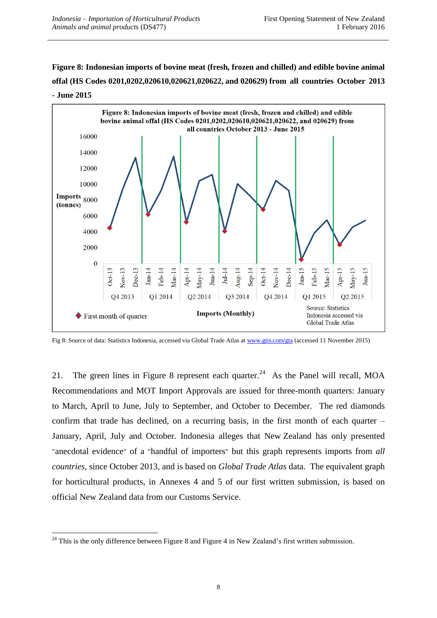**Figure 8: Indonesian imports of bovine meat (fresh, frozen and chilled) and edible bovine animal offal (HS Codes 0201,0202,020610,020621,020622, and 020629) from all countries October 2013 - June 2015**



Fig 8: Source of data: Statistics Indonesia, accessed via Global Trade Atlas a[t www.gtis.com/gta](http://www.gtis.com/gta) (accessed 11 November 2015)

21. The green lines in Figure 8 represent each quarter.<sup>24</sup> As the Panel will recall, MOA Recommendations and MOT Import Approvals are issued for three-month quarters: January to March, April to June, July to September, and October to December. The red diamonds confirm that trade has declined, on a recurring basis, in the first month of each quarter – January, April, July and October. Indonesia alleges that New Zealand has only presented "anecdotal evidence" of a "handful of importers" but this graph represents imports from *all countries*, since October 2013, and is based on *Global Trade Atlas* data. The equivalent graph for horticultural products, in Annexes 4 and 5 of our first written submission, is based on official New Zealand data from our Customs Service.

 $\overline{a}$  $24$  This is the only difference between Figure 8 and Figure 4 in New Zealand's first written submission.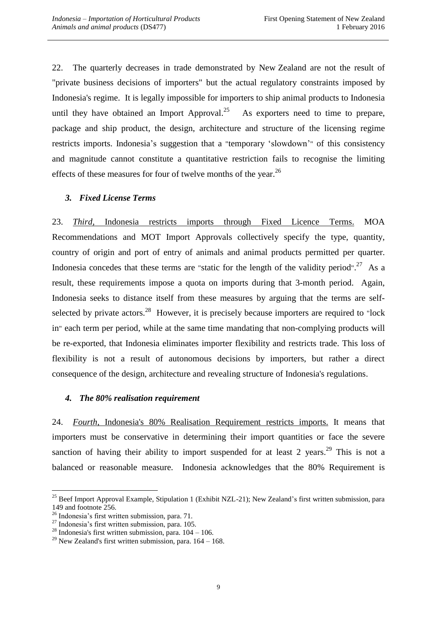22. The quarterly decreases in trade demonstrated by New Zealand are not the result of "private business decisions of importers" but the actual regulatory constraints imposed by Indonesia's regime. It is legally impossible for importers to ship animal products to Indonesia until they have obtained an Import Approval. $^{25}$  As exporters need to time to prepare, package and ship product, the design, architecture and structure of the licensing regime restricts imports. Indonesia's suggestion that a "temporary 'slowdown'" of this consistency and magnitude cannot constitute a quantitative restriction fails to recognise the limiting effects of these measures for four of twelve months of the year.<sup>26</sup>

# *3. Fixed License Terms*

23. *Third,* Indonesia restricts imports through Fixed Licence Terms. MOA Recommendations and MOT Import Approvals collectively specify the type, quantity, country of origin and port of entry of animals and animal products permitted per quarter. Indonesia concedes that these terms are "static for the length of the validity period".<sup>27</sup> As a result, these requirements impose a quota on imports during that 3-month period. Again, Indonesia seeks to distance itself from these measures by arguing that the terms are selfselected by private actors.<sup>28</sup> However, it is precisely because importers are required to "lock in" each term per period, while at the same time mandating that non-complying products will be re-exported, that Indonesia eliminates importer flexibility and restricts trade. This loss of flexibility is not a result of autonomous decisions by importers, but rather a direct consequence of the design, architecture and revealing structure of Indonesia's regulations.

## *4. The 80% realisation requirement*

24. *Fourth,* Indonesia's 80% Realisation Requirement restricts imports. It means that importers must be conservative in determining their import quantities or face the severe sanction of having their ability to import suspended for at least 2 years.<sup>29</sup> This is not a balanced or reasonable measure. Indonesia acknowledges that the 80% Requirement is

<sup>&</sup>lt;sup>25</sup> Beef Import Approval Example, Stipulation 1 (Exhibit NZL-21); New Zealand's first written submission, para 149 and footnote 256.

<sup>26</sup> Indonesia's first written submission, para. 71.

 $^{27}$  Indonesia's first written submission, para. 105.

<sup>&</sup>lt;sup>28</sup> Indonesia's first written submission, para.  $104 - 106$ .

<sup>&</sup>lt;sup>29</sup> New Zealand's first written submission, para.  $164 - 168$ .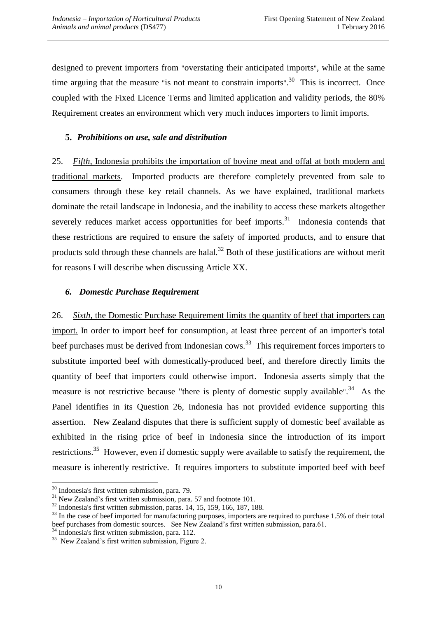designed to prevent importers from "overstating their anticipated imports", while at the same time arguing that the measure "is not meant to constrain imports".<sup>30</sup> This is incorrect. Once coupled with the Fixed Licence Terms and limited application and validity periods, the 80% Requirement creates an environment which very much induces importers to limit imports.

### **5.** *Prohibitions on use, sale and distribution*

25. *Fifth,* Indonesia prohibits the importation of bovine meat and offal at both modern and traditional markets. Imported products are therefore completely prevented from sale to consumers through these key retail channels. As we have explained, traditional markets dominate the retail landscape in Indonesia, and the inability to access these markets altogether severely reduces market access opportunities for beef imports.<sup>31</sup> Indonesia contends that these restrictions are required to ensure the safety of imported products, and to ensure that products sold through these channels are halal.<sup>32</sup> Both of these justifications are without merit for reasons I will describe when discussing Article XX.

#### *6. Domestic Purchase Requirement*

26. *Sixth,* the Domestic Purchase Requirement limits the quantity of beef that importers can import. In order to import beef for consumption, at least three percent of an importer's total beef purchases must be derived from Indonesian cows.<sup>33</sup> This requirement forces importers to substitute imported beef with domestically-produced beef, and therefore directly limits the quantity of beef that importers could otherwise import. Indonesia asserts simply that the measure is not restrictive because "there is plenty of domestic supply available".<sup>34</sup> As the Panel identifies in its Question 26, Indonesia has not provided evidence supporting this assertion. New Zealand disputes that there is sufficient supply of domestic beef available as exhibited in the rising price of beef in Indonesia since the introduction of its import restrictions.<sup>35</sup> However, even if domestic supply were available to satisfy the requirement, the measure is inherently restrictive. It requires importers to substitute imported beef with beef

 $30$  Indonesia's first written submission, para. 79.

 $31$  New Zealand's first written submission, para. 57 and footnote 101.

<sup>32</sup> Indonesia's first written submission, paras. 14, 15, 159, 166, 187, 188.

<sup>&</sup>lt;sup>33</sup> In the case of beef imported for manufacturing purposes, importers are required to purchase 1.5% of their total beef purchases from domestic sources. See New Zealand's first written submission, para.61.

<sup>&</sup>lt;sup>4</sup> Indonesia's first written submission, para. 112.

<sup>&</sup>lt;sup>35</sup> New Zealand's first written submission, Figure 2.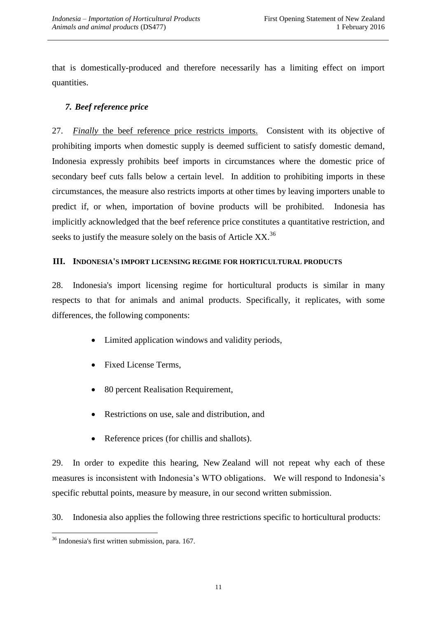that is domestically-produced and therefore necessarily has a limiting effect on import quantities.

# *7. Beef reference price*

27. *Finally* the beef reference price restricts imports. Consistent with its objective of prohibiting imports when domestic supply is deemed sufficient to satisfy domestic demand, Indonesia expressly prohibits beef imports in circumstances where the domestic price of secondary beef cuts falls below a certain level. In addition to prohibiting imports in these circumstances, the measure also restricts imports at other times by leaving importers unable to predict if, or when, importation of bovine products will be prohibited. Indonesia has implicitly acknowledged that the beef reference price constitutes a quantitative restriction, and seeks to justify the measure solely on the basis of Article  $XX$ <sup>36</sup>

## **III. INDONESIA'S IMPORT LICENSING REGIME FOR HORTICULTURAL PRODUCTS**

28. Indonesia's import licensing regime for horticultural products is similar in many respects to that for animals and animal products. Specifically, it replicates, with some differences, the following components:

- Limited application windows and validity periods,
- Fixed License Terms,
- 80 percent Realisation Requirement,
- Restrictions on use, sale and distribution, and
- Reference prices (for chillis and shallots).

29. In order to expedite this hearing, New Zealand will not repeat why each of these measures is inconsistent with Indonesia's WTO obligations. We will respond to Indonesia's specific rebuttal points, measure by measure, in our second written submission.

30. Indonesia also applies the following three restrictions specific to horticultural products:

 $\overline{a}$ <sup>36</sup> Indonesia's first written submission, para. 167.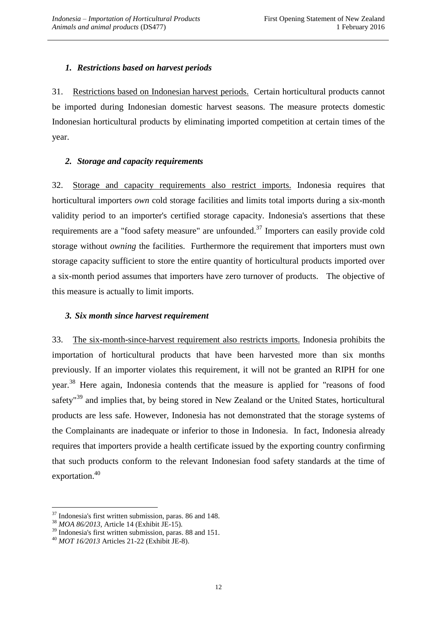#### *1. Restrictions based on harvest periods*

31. Restrictions based on Indonesian harvest periods. Certain horticultural products cannot be imported during Indonesian domestic harvest seasons. The measure protects domestic Indonesian horticultural products by eliminating imported competition at certain times of the year.

#### *2. Storage and capacity requirements*

32. Storage and capacity requirements also restrict imports. Indonesia requires that horticultural importers *own* cold storage facilities and limits total imports during a six-month validity period to an importer's certified storage capacity. Indonesia's assertions that these requirements are a "food safety measure" are unfounded.<sup>37</sup> Importers can easily provide cold storage without *owning* the facilities. Furthermore the requirement that importers must own storage capacity sufficient to store the entire quantity of horticultural products imported over a six-month period assumes that importers have zero turnover of products. The objective of this measure is actually to limit imports.

## *3. Six month since harvest requirement*

33. The six-month-since-harvest requirement also restricts imports. Indonesia prohibits the importation of horticultural products that have been harvested more than six months previously. If an importer violates this requirement, it will not be granted an RIPH for one year.<sup>38</sup> Here again, Indonesia contends that the measure is applied for "reasons of food safety<sup>"39</sup> and implies that, by being stored in New Zealand or the United States, horticultural products are less safe. However, Indonesia has not demonstrated that the storage systems of the Complainants are inadequate or inferior to those in Indonesia. In fact, Indonesia already requires that importers provide a health certificate issued by the exporting country confirming that such products conform to the relevant Indonesian food safety standards at the time of exportation.<sup>40</sup>

<sup>37</sup> Indonesia's first written submission, paras. 86 and 148.

<sup>38</sup> *MOA 86/2013,* Article 14 (Exhibit JE-15)*.* 

<sup>&</sup>lt;sup>39</sup> Indonesia's first written submission, paras. 88 and 151.

<sup>40</sup> *MOT 16/2013* Articles 21-22 (Exhibit JE-8).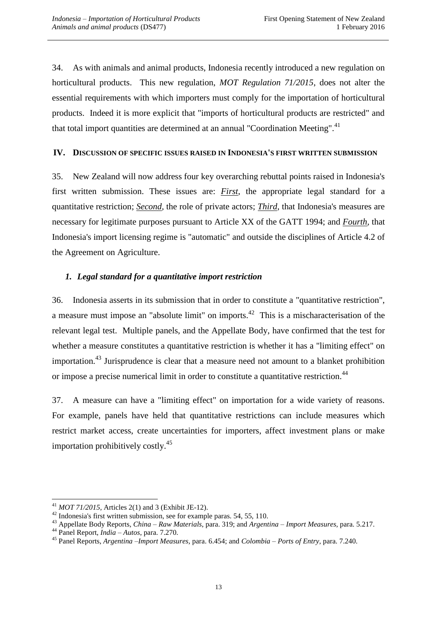34. As with animals and animal products, Indonesia recently introduced a new regulation on horticultural products. This new regulation, *MOT Regulation 71/2015*, does not alter the essential requirements with which importers must comply for the importation of horticultural products. Indeed it is more explicit that "imports of horticultural products are restricted" and that total import quantities are determined at an annual "Coordination Meeting".<sup>41</sup>

#### **IV. DISCUSSION OF SPECIFIC ISSUES RAISED IN INDONESIA'S FIRST WRITTEN SUBMISSION**

35. New Zealand will now address four key overarching rebuttal points raised in Indonesia's first written submission. These issues are: *First,* the appropriate legal standard for a quantitative restriction; *Second,* the role of private actors; *Third*, that Indonesia's measures are necessary for legitimate purposes pursuant to Article XX of the GATT 1994; and *Fourth,* that Indonesia's import licensing regime is "automatic" and outside the disciplines of Article 4.2 of the Agreement on Agriculture.

## *1. Legal standard for a quantitative import restriction*

36. Indonesia asserts in its submission that in order to constitute a "quantitative restriction", a measure must impose an "absolute limit" on imports.<sup>42</sup> This is a mischaracterisation of the relevant legal test. Multiple panels, and the Appellate Body, have confirmed that the test for whether a measure constitutes a quantitative restriction is whether it has a "limiting effect" on importation.<sup>43</sup> Jurisprudence is clear that a measure need not amount to a blanket prohibition or impose a precise numerical limit in order to constitute a quantitative restriction.<sup>44</sup>

37. A measure can have a "limiting effect" on importation for a wide variety of reasons. For example, panels have held that quantitative restrictions can include measures which restrict market access, create uncertainties for importers, affect investment plans or make importation prohibitively costly. $45$ 

<sup>41</sup> *MOT 71/2015,* Articles 2(1) and 3 (Exhibit JE-12).

<sup>42</sup> Indonesia's first written submission, see for example paras. 54, 55, 110.

<sup>43</sup> Appellate Body Reports, *China – Raw Materials*, para. 319; and *Argentina – Import Measures,* para. 5.217.

<sup>44</sup> Panel Report, *India – Autos*, para. 7.270.

<sup>45</sup> Panel Reports, *Argentina –Import Measures,* para. 6.454; and *Colombia – Ports of Entry,* para. 7.240.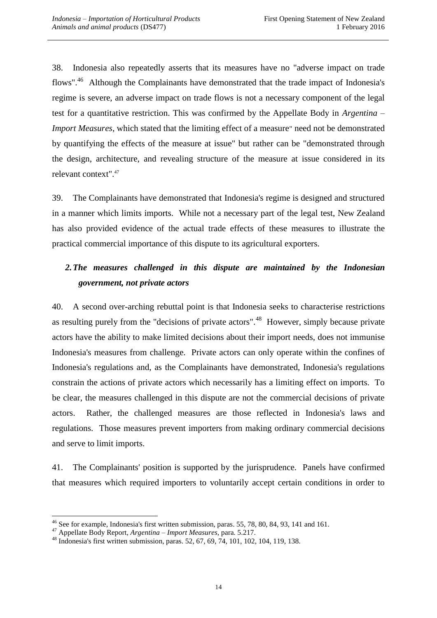38. Indonesia also repeatedly asserts that its measures have no "adverse impact on trade flows".<sup>46</sup> Although the Complainants have demonstrated that the trade impact of Indonesia's regime is severe, an adverse impact on trade flows is not a necessary component of the legal test for a quantitative restriction. This was confirmed by the Appellate Body in *Argentina – Import Measures*, which stated that the limiting effect of a measure" need not be demonstrated by quantifying the effects of the measure at issue" but rather can be "demonstrated through the design, architecture, and revealing structure of the measure at issue considered in its relevant context".<sup>47</sup>

39. The Complainants have demonstrated that Indonesia's regime is designed and structured in a manner which limits imports. While not a necessary part of the legal test, New Zealand has also provided evidence of the actual trade effects of these measures to illustrate the practical commercial importance of this dispute to its agricultural exporters.

# *2.The measures challenged in this dispute are maintained by the Indonesian government, not private actors*

40. A second over-arching rebuttal point is that Indonesia seeks to characterise restrictions as resulting purely from the "decisions of private actors".<sup>48</sup> However, simply because private actors have the ability to make limited decisions about their import needs, does not immunise Indonesia's measures from challenge. Private actors can only operate within the confines of Indonesia's regulations and, as the Complainants have demonstrated, Indonesia's regulations constrain the actions of private actors which necessarily has a limiting effect on imports. To be clear, the measures challenged in this dispute are not the commercial decisions of private actors. Rather, the challenged measures are those reflected in Indonesia's laws and regulations. Those measures prevent importers from making ordinary commercial decisions and serve to limit imports.

41. The Complainants' position is supported by the jurisprudence. Panels have confirmed that measures which required importers to voluntarily accept certain conditions in order to

 $\overline{a}$ <sup>46</sup> See for example, Indonesia's first written submission, paras. 55, 78, 80, 84, 93, 141 and 161.

<sup>47</sup> Appellate Body Report, *Argentina – Import Measures*, para. 5.217.

<sup>48</sup> Indonesia's first written submission, paras. 52, 67, 69, 74, 101, 102, 104, 119, 138.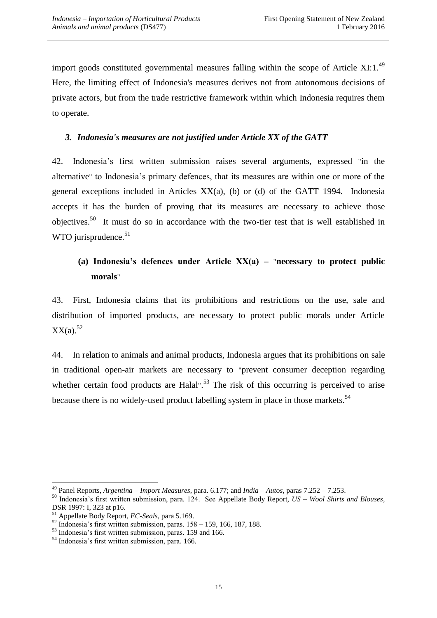import goods constituted governmental measures falling within the scope of Article XI:1. $^{49}$ Here, the limiting effect of Indonesia's measures derives not from autonomous decisions of private actors, but from the trade restrictive framework within which Indonesia requires them to operate.

## *3. Indonesia's measures are not justified under Article XX of the GATT*

42. Indonesia's first written submission raises several arguments, expressed "in the alternative" to Indonesia's primary defences, that its measures are within one or more of the general exceptions included in Articles XX(a), (b) or (d) of the GATT 1994. Indonesia accepts it has the burden of proving that its measures are necessary to achieve those objectives.<sup>50</sup> It must do so in accordance with the two-tier test that is well established in WTO jurisprudence. $51$ 

# **(a) Indonesia's defences under Article XX(a) –** "**necessary to protect public morals**"

43. First, Indonesia claims that its prohibitions and restrictions on the use, sale and distribution of imported products, are necessary to protect public morals under Article  $XX(a).$ <sup>52</sup>

44. In relation to animals and animal products, Indonesia argues that its prohibitions on sale in traditional open-air markets are necessary to "prevent consumer deception regarding whether certain food products are Halal".<sup>53</sup> The risk of this occurring is perceived to arise because there is no widely-used product labelling system in place in those markets.<sup>54</sup>

<sup>49</sup> Panel Reports, *Argentina – Import Measures*, para. 6.177; and *India – Autos*, paras 7.252 – 7.253.

<sup>50</sup> Indonesia's first written submission, para. 124. See Appellate Body Report, *US – Wool Shirts and Blouses*, DSR 1997: I, 323 at p16.

<sup>51</sup> Appellate Body Report, *EC-Seals,* para 5.169.

 $52$  Indonesia's first written submission, paras.  $158 - 159$ , 166, 187, 188.

<sup>&</sup>lt;sup>53</sup> Indonesia's first written submission, paras. 159 and 166.

<sup>54</sup> Indonesia's first written submission, para. 166.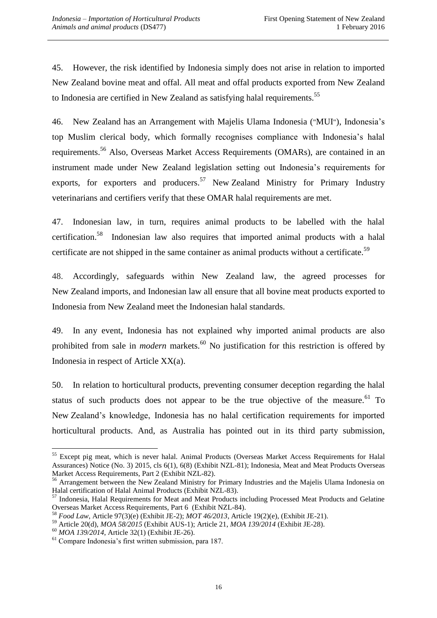45. However, the risk identified by Indonesia simply does not arise in relation to imported New Zealand bovine meat and offal. All meat and offal products exported from New Zealand to Indonesia are certified in New Zealand as satisfying halal requirements.<sup>55</sup>

46. New Zealand has an Arrangement with Majelis Ulama Indonesia ("MUI"), Indonesia's top Muslim clerical body, which formally recognises compliance with Indonesia's halal requirements.<sup>56</sup> Also, Overseas Market Access Requirements (OMARs), are contained in an instrument made under New Zealand legislation setting out Indonesia's requirements for exports, for exporters and producers.<sup>57</sup> New Zealand Ministry for Primary Industry veterinarians and certifiers verify that these OMAR halal requirements are met.

47. Indonesian law, in turn, requires animal products to be labelled with the halal certification.<sup>58</sup> Indonesian law also requires that imported animal products with a halal certificate are not shipped in the same container as animal products without a certificate.<sup>59</sup>

48. Accordingly, safeguards within New Zealand law, the agreed processes for New Zealand imports, and Indonesian law all ensure that all bovine meat products exported to Indonesia from New Zealand meet the Indonesian halal standards.

49. In any event, Indonesia has not explained why imported animal products are also prohibited from sale in *modern* markets.<sup>60</sup> No justification for this restriction is offered by Indonesia in respect of Article XX(a).

50. In relation to horticultural products, preventing consumer deception regarding the halal status of such products does not appear to be the true objective of the measure.<sup>61</sup> To New Zealand's knowledge, Indonesia has no halal certification requirements for imported horticultural products. And, as Australia has pointed out in its third party submission,

<sup>&</sup>lt;sup>55</sup> Except pig meat, which is never halal. Animal Products (Overseas Market Access Requirements for Halal Assurances) Notice (No. 3) 2015, cls 6(1), 6(8) (Exhibit NZL-81); Indonesia, Meat and Meat Products Overseas Market Access Requirements, Part 2 (Exhibit NZL-82).

<sup>&</sup>lt;sup>56</sup> Arrangement between the New Zealand Ministry for Primary Industries and the Majelis Ulama Indonesia on Halal certification of Halal Animal Products (Exhibit NZL-83).

<sup>&</sup>lt;sup>57</sup> Indonesia, Halal Requirements for Meat and Meat Products including Processed Meat Products and Gelatine Overseas Market Access Requirements, Part 6 (Exhibit NZL-84).

<sup>58</sup> *Food Law*, Article 97(3)(e) (Exhibit JE-2); *MOT 46/2013*, Article 19(2)(e), (Exhibit JE-21).

<sup>59</sup> Article 20(d), *MOA 58/2015* (Exhibit AUS-1); Article 21, *MOA 139/2014* (Exhibit JE-28).

<sup>60</sup> *MOA 139/2014*, Article 32(1) (Exhibit JE-26).

<sup>61</sup> Compare Indonesia's first written submission, para 187.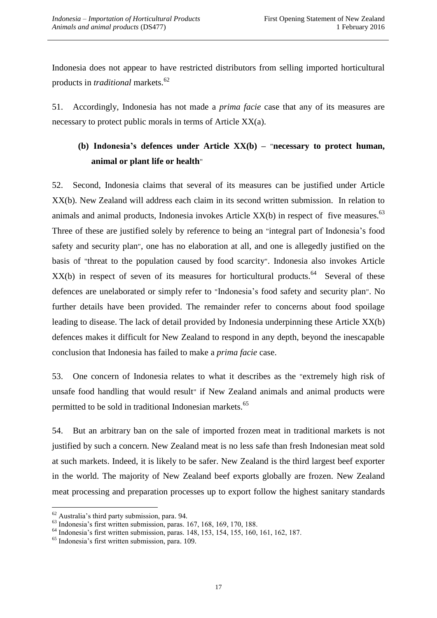Indonesia does not appear to have restricted distributors from selling imported horticultural products in *traditional* markets.<sup>62</sup>

51. Accordingly, Indonesia has not made a *prima facie* case that any of its measures are necessary to protect public morals in terms of Article XX(a).

# **(b) Indonesia's defences under Article XX(b) –** "**necessary to protect human, animal or plant life or health**"

52. Second, Indonesia claims that several of its measures can be justified under Article XX(b). New Zealand will address each claim in its second written submission. In relation to animals and animal products, Indonesia invokes Article  $XX(b)$  in respect of five measures.<sup>63</sup> Three of these are justified solely by reference to being an "integral part of Indonesia's food safety and security plan", one has no elaboration at all, and one is allegedly justified on the basis of "threat to the population caused by food scarcity". Indonesia also invokes Article  $XX(b)$  in respect of seven of its measures for horticultural products.<sup>64</sup> Several of these defences are unelaborated or simply refer to "Indonesia's food safety and security plan". No further details have been provided. The remainder refer to concerns about food spoilage leading to disease. The lack of detail provided by Indonesia underpinning these Article XX(b) defences makes it difficult for New Zealand to respond in any depth, beyond the inescapable conclusion that Indonesia has failed to make a *prima facie* case.

53. One concern of Indonesia relates to what it describes as the "extremely high risk of unsafe food handling that would result" if New Zealand animals and animal products were permitted to be sold in traditional Indonesian markets.<sup>65</sup>

54. But an arbitrary ban on the sale of imported frozen meat in traditional markets is not justified by such a concern. New Zealand meat is no less safe than fresh Indonesian meat sold at such markets. Indeed, it is likely to be safer. New Zealand is the third largest beef exporter in the world. The majority of New Zealand beef exports globally are frozen. New Zealand meat processing and preparation processes up to export follow the highest sanitary standards

 $\overline{a}$  $62$  Australia's third party submission, para. 94.

 $<sup>63</sup>$  Indonesia's first written submission, paras. 167, 168, 169, 170, 188.</sup>

<sup>64</sup> Indonesia's first written submission, paras. 148, 153, 154, 155, 160, 161, 162, 187.

<sup>65</sup> Indonesia's first written submission, para. 109.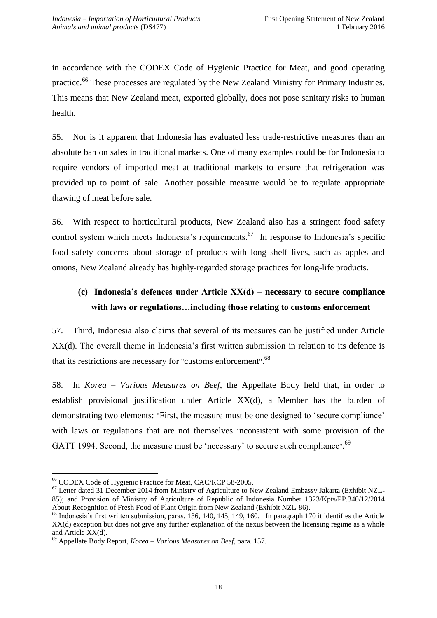in accordance with the CODEX Code of Hygienic Practice for Meat, and good operating practice.<sup>66</sup> These processes are regulated by the New Zealand Ministry for Primary Industries. This means that New Zealand meat, exported globally, does not pose sanitary risks to human health.

55. Nor is it apparent that Indonesia has evaluated less trade-restrictive measures than an absolute ban on sales in traditional markets. One of many examples could be for Indonesia to require vendors of imported meat at traditional markets to ensure that refrigeration was provided up to point of sale. Another possible measure would be to regulate appropriate thawing of meat before sale.

56. With respect to horticultural products, New Zealand also has a stringent food safety control system which meets Indonesia's requirements.<sup>67</sup> In response to Indonesia's specific food safety concerns about storage of products with long shelf lives, such as apples and onions, New Zealand already has highly-regarded storage practices for long-life products.

# **(c) Indonesia's defences under Article XX(d) – necessary to secure compliance with laws or regulations…including those relating to customs enforcement**

57. Third, Indonesia also claims that several of its measures can be justified under Article XX(d). The overall theme in Indonesia's first written submission in relation to its defence is that its restrictions are necessary for "customs enforcement".<sup>68</sup>

58. In *Korea – Various Measures on Beef*, the Appellate Body held that, in order to establish provisional justification under Article XX(d), a Member has the burden of demonstrating two elements: "First, the measure must be one designed to 'secure compliance' with laws or regulations that are not themselves inconsistent with some provision of the GATT 1994. Second, the measure must be 'necessary' to secure such compliance".<sup>69</sup>

 $\overline{a}$ <sup>66</sup> CODEX Code of Hygienic Practice for Meat, CAC/RCP 58-2005.

<sup>&</sup>lt;sup>67</sup> Letter dated 31 December 2014 from Ministry of Agriculture to New Zealand Embassy Jakarta (Exhibit NZL-85); and Provision of Ministry of Agriculture of Republic of Indonesia Number 1323/Kpts/PP.340/12/2014 About Recognition of Fresh Food of Plant Origin from New Zealand (Exhibit NZL-86).

<sup>&</sup>lt;sup>68</sup> Indonesia's first written submission, paras. 136, 140, 145, 149, 160. In paragraph 170 it identifies the Article XX(d) exception but does not give any further explanation of the nexus between the licensing regime as a whole and Article XX(d).

<sup>69</sup> Appellate Body Report, *Korea – Various Measures on Beef*, para. 157.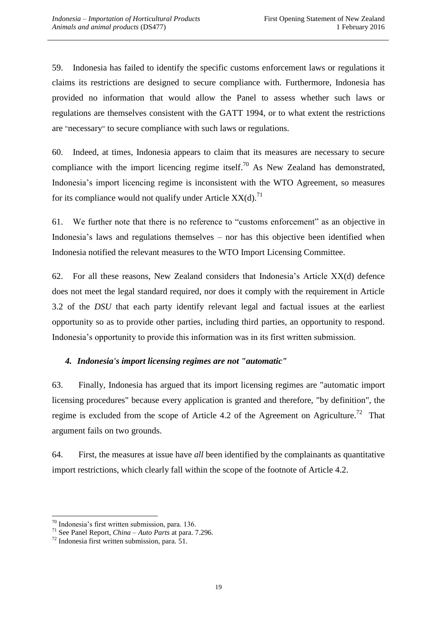59. Indonesia has failed to identify the specific customs enforcement laws or regulations it claims its restrictions are designed to secure compliance with. Furthermore, Indonesia has provided no information that would allow the Panel to assess whether such laws or regulations are themselves consistent with the GATT 1994, or to what extent the restrictions are "necessary" to secure compliance with such laws or regulations.

60. Indeed, at times, Indonesia appears to claim that its measures are necessary to secure compliance with the import licencing regime itself.<sup>70</sup> As New Zealand has demonstrated, Indonesia's import licencing regime is inconsistent with the WTO Agreement, so measures for its compliance would not qualify under Article  $XX(d)$ .<sup>71</sup>

61. We further note that there is no reference to "customs enforcement" as an objective in Indonesia's laws and regulations themselves – nor has this objective been identified when Indonesia notified the relevant measures to the WTO Import Licensing Committee.

62. For all these reasons, New Zealand considers that Indonesia's Article XX(d) defence does not meet the legal standard required, nor does it comply with the requirement in Article 3.2 of the *DSU* that each party identify relevant legal and factual issues at the earliest opportunity so as to provide other parties, including third parties, an opportunity to respond. Indonesia's opportunity to provide this information was in its first written submission.

# *4. Indonesia's import licensing regimes are not "automatic"*

63. Finally, Indonesia has argued that its import licensing regimes are "automatic import licensing procedures" because every application is granted and therefore, "by definition", the regime is excluded from the scope of Article 4.2 of the Agreement on Agriculture.<sup>72</sup> That argument fails on two grounds.

64. First, the measures at issue have *all* been identified by the complainants as quantitative import restrictions, which clearly fall within the scope of the footnote of Article 4.2.

 $\overline{a}$  $70$  Indonesia's first written submission, para. 136.

<sup>71</sup> See Panel Report, *China – Auto Parts* at para. 7.296.

 $72$  Indonesia first written submission, para. 51.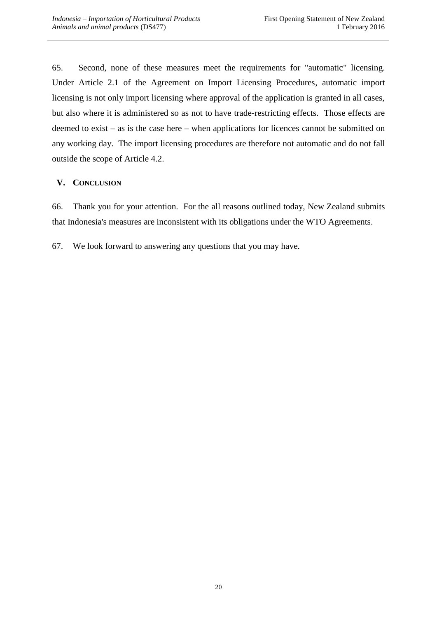65. Second, none of these measures meet the requirements for "automatic" licensing. Under Article 2.1 of the Agreement on Import Licensing Procedures, automatic import licensing is not only import licensing where approval of the application is granted in all cases, but also where it is administered so as not to have trade-restricting effects. Those effects are deemed to exist – as is the case here – when applications for licences cannot be submitted on any working day. The import licensing procedures are therefore not automatic and do not fall outside the scope of Article 4.2.

## **V. CONCLUSION**

66. Thank you for your attention. For the all reasons outlined today, New Zealand submits that Indonesia's measures are inconsistent with its obligations under the WTO Agreements.

67. We look forward to answering any questions that you may have.